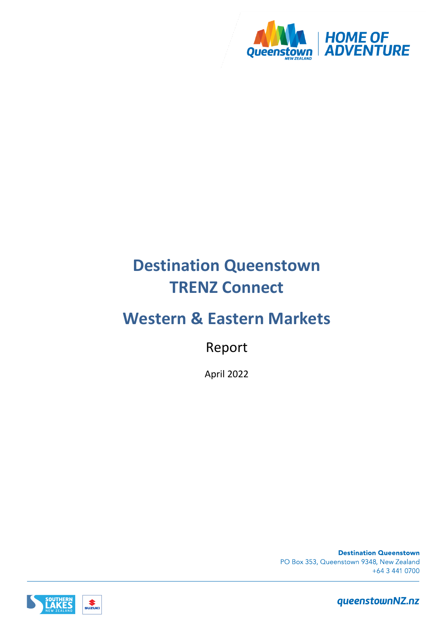

# **Destination Queenstown TRENZ Connect**

# **Western & Eastern Markets**

Report

April 2022

**Destination Queenstown** PO Box 353, Queenstown 9348, New Zealand +64 3 441 0700

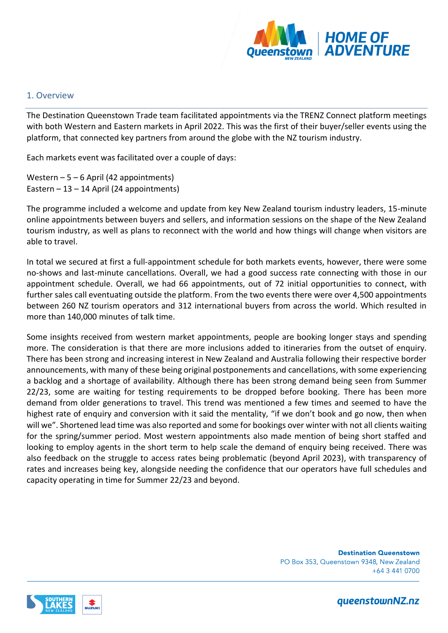

## 1. Overview

The Destination Queenstown Trade team facilitated appointments via the TRENZ Connect platform meetings with both Western and Eastern markets in April 2022. This was the first of their buyer/seller events using the platform, that connected key partners from around the globe with the NZ tourism industry.

Each markets event was facilitated over a couple of days:

Western  $-5 - 6$  April (42 appointments) Eastern  $-13 - 14$  April (24 appointments)

The programme included a welcome and update from key New Zealand tourism industry leaders, 15-minute online appointments between buyers and sellers, and information sessions on the shape of the New Zealand tourism industry, as well as plans to reconnect with the world and how things will change when visitors are able to travel.

In total we secured at first a full-appointment schedule for both markets events, however, there were some no-shows and last-minute cancellations. Overall, we had a good success rate connecting with those in our appointment schedule. Overall, we had 66 appointments, out of 72 initial opportunities to connect, with further sales call eventuating outside the platform. From the two events there were over 4,500 appointments between 260 NZ tourism operators and 312 international buyers from across the world. Which resulted in more than 140,000 minutes of talk time.

Some insights received from western market appointments, people are booking longer stays and spending more. The consideration is that there are more inclusions added to itineraries from the outset of enquiry. There has been strong and increasing interest in New Zealand and Australia following their respective border announcements, with many of these being original postponements and cancellations, with some experiencing a backlog and a shortage of availability. Although there has been strong demand being seen from Summer 22/23, some are waiting for testing requirements to be dropped before booking. There has been more demand from older generations to travel. This trend was mentioned a few times and seemed to have the highest rate of enquiry and conversion with it said the mentality, "if we don't book and go now, then when will we". Shortened lead time was also reported and some for bookings over winter with not all clients waiting for the spring/summer period. Most western appointments also made mention of being short staffed and looking to employ agents in the short term to help scale the demand of enquiry being received. There was also feedback on the struggle to access rates being problematic (beyond April 2023), with transparency of rates and increases being key, alongside needing the confidence that our operators have full schedules and capacity operating in time for Summer 22/23 and beyond.

> **Destination Queenstown** PO Box 353, Queenstown 9348, New Zealand +64 3 441 0700

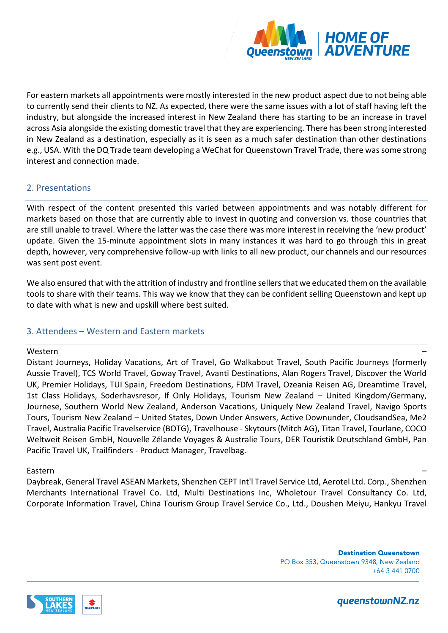

For eastern markets all appointments were mostly interested in the new product aspect due to not being able to currently send their clients to NZ. As expected, there were the same issues with a lot of staff having left the industry, but alongside the increased interest in New Zealand there has starting to be an increase in travel across Asia alongside the existing domestic travel that they are experiencing. There has been strong interested in New Zealand as a destination, especially as it is seen as a much safer destination than other destinations e.g., USA. With the DQ Trade team developing a WeChat for Queenstown Travel Trade, there was some strong interest and connection made.

# 2. Presentations

With respect of the content presented this varied between appointments and was notably different for markets based on those that are currently able to invest in quoting and conversion vs. those countries that are still unable to travel. Where the latter was the case there was more interest in receiving the 'new product' update. Given the 15-minute appointment slots in many instances it was hard to go through this in great depth, however, very comprehensive follow-up with links to all new product, our channels and our resources was sent post event.

We also ensured that with the attrition of industry and frontline sellers that we educated them on the available tools to share with their teams. This way we know that they can be confident selling Queenstown and kept up to date with what is new and upskill where best suited.

# 3. Attendees – Western and Eastern markets

#### Western –

Distant Journeys, Holiday Vacations, Art of Travel, Go Walkabout Travel, South Pacific Journeys (formerly Aussie Travel), TCS World Travel, Goway Travel, Avanti Destinations, Alan Rogers Travel, Discover the World UK, Premier Holidays, TUI Spain, Freedom Destinations, FDM Travel, Ozeania Reisen AG, Dreamtime Travel, 1st Class Holidays, Soderhavsresor, If Only Holidays, Tourism New Zealand – United Kingdom/Germany, Journese, Southern World New Zealand, Anderson Vacations, Uniquely New Zealand Travel, Navigo Sports Tours, Tourism New Zealand – United States, Down Under Answers, Active Downunder, CloudsandSea, Me2 Travel, Australia Pacific Travelservice (BOTG), Travelhouse - Skytours (Mitch AG), Titan Travel, Tourlane, COCO Weltweit Reisen GmbH, Nouvelle Zélande Voyages & Australie Tours, DER Touristik Deutschland GmbH, Pan Pacific Travel UK, Trailfinders - Product Manager, Travelbag.

## Eastern –

Daybreak, General Travel ASEAN Markets, Shenzhen CEPT Int'l Travel Service Ltd, Aerotel Ltd. Corp., Shenzhen Merchants International Travel Co. Ltd, Multi Destinations Inc, Wholetour Travel Consultancy Co. Ltd, Corporate Information Travel, China Tourism Group Travel Service Co., Ltd., Doushen Meiyu, Hankyu Travel

> **Destination Queenstown** PO Box 353, Queenstown 9348, New Zealand  $+643410700$